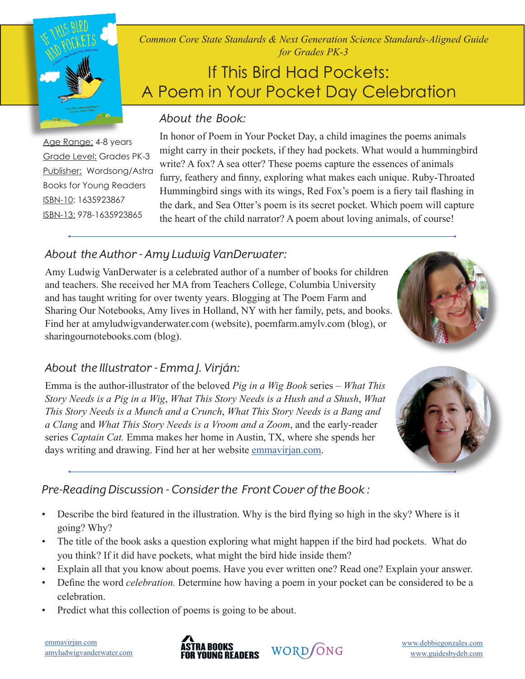*Common Core State Standards & Next Generation Science Standards-Aligned Guide for Grades PK-3*

# If This Bird Had Pockets: A Poem in Your Pocket Day Celebration

# *About the Book:*

Age Range: 4-8 years Grade Level: Grades PK-3 Publisher: Wordsong/Astra Books for Young Readers ISBN-10: 1635923867 ISBN-13: 978-1635923865

In honor of Poem in Your Pocket Day, a child imagines the poems animals might carry in their pockets, if they had pockets. What would a hummingbird write? A fox? A sea otter? These poems capture the essences of animals furry, feathery and finny, exploring what makes each unique. Ruby-Throated Hummingbird sings with its wings, Red Fox's poem is a fiery tail flashing in the dark, and Sea Otter's poem is its secret pocket. Which poem will capture the heart of the child narrator? A poem about loving animals, of course!

# *About the Author - Amy Ludwig VanDerwater:*

Amy Ludwig VanDerwater is a celebrated author of a number of books for children and teachers. She received her MA from Teachers College, Columbia University and has taught writing for over twenty years. Blogging at The Poem Farm and Sharing Our Notebooks, Amy lives in Holland, NY with her family, pets, and books. Find her at amyludwigvanderwater.com (website), poemfarm.amylv.com (blog), or sharingournotebooks.com (blog).



### *About the Illustrator - Emma J. Virján:*

Emma is the author-illustrator of the beloved *Pig in a Wig Book* series – *What This Story Needs is a Pig in a Wig*, *What This Story Needs is a Hush and a Shush*, *What This Story Needs is a Munch and a Crunch*, *What This Story Needs is a Bang and a Clang* and *What This Story Needs is a Vroom and a Zoom*, and the early-reader series *Captain Cat.* Emma makes her home in Austin, TX, where she spends her days writing and drawing. Find her at her website emmavirjan.com.



## *Pre-Reading Discussion - Consider the Front Cover of the Book :*

- Describe the bird featured in the illustration. Why is the bird flying so high in the sky? Where is it going? Why?
- The title of the book asks a question exploring what might happen if the bird had pockets. What do you think? If it did have pockets, what might the bird hide inside them?
- Explain all that you know about poems. Have you ever written one? Read one? Explain your answer.
- Define the word *celebration.* Determine how having a poem in your pocket can be considered to be a celebration.
- Predict what this collection of poems is going to be about.

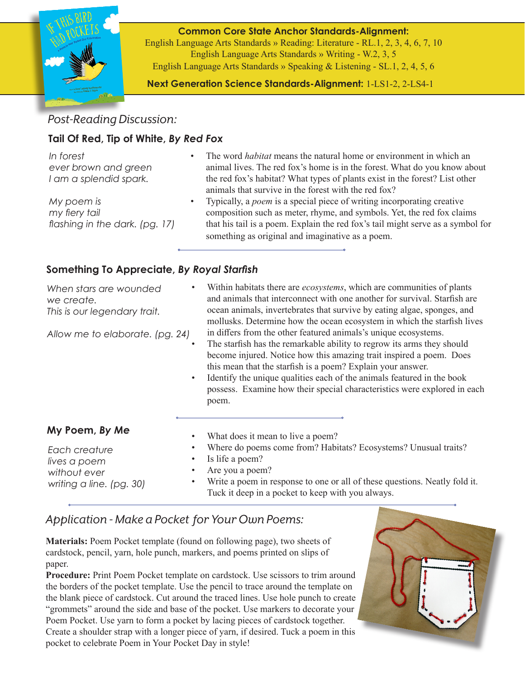

**Common Core State Anchor Standards-Alignment:**  English Language Arts Standards » Reading: Literature - RL.1, 2, 3, 4, 6, 7, 10 English Language Arts Standards » Writing - W.2, 3, 5 English Language Arts Standards » Speaking & Listening - SL.1, 2, 4, 5, 6

**Next Generation Science Standards-Alignment:** 1-LS1-2, 2-LS4-1

## *Post-Reading Discussion:*

#### **Tail Of Red, Tip of White,** *By Red Fox*

| In forest<br>ever brown and green<br>I am a splendid spark.   |   | The word <i>habitat</i> means the natural home or environment in which an<br>animal lives. The red fox's home is in the forest. What do you know about<br>the red fox's habitat? What types of plants exist in the forest? List other<br>animals that survive in the forest with the red fox?  |
|---------------------------------------------------------------|---|------------------------------------------------------------------------------------------------------------------------------------------------------------------------------------------------------------------------------------------------------------------------------------------------|
| My poem is<br>my fiery tail<br>flashing in the dark. (pg. 17) | ٠ | Typically, a <i>poem</i> is a special piece of writing incorporating creative<br>composition such as meter, rhyme, and symbols. Yet, the red fox claims<br>that his tail is a poem. Explain the red fox's tail might serve as a symbol for<br>something as original and imaginative as a poem. |

#### **Something To Appreciate,** *By Royal Starfish*

| When stars are wounded<br>we create.<br>This is our legendary trait.<br>Allow me to elaborate. (pg. 24) | Within habitats there are <i>ecosystems</i> , which are communities of plants<br>and animals that interconnect with one another for survival. Starfish are<br>ocean animals, invertebrates that survive by eating algae, sponges, and<br>mollusks. Determine how the ocean ecosystem in which the starfish lives<br>in differs from the other featured animals's unique ecosystems.<br>The starfish has the remarkable ability to regrow its arms they should<br>become injured. Notice how this amazing trait inspired a poem. Does<br>this mean that the starfish is a poem? Explain your answer.<br>Identify the unique qualities each of the animals featured in the book<br>possess. Examine how their special characteristics were explored in each<br>poem. |
|---------------------------------------------------------------------------------------------------------|--------------------------------------------------------------------------------------------------------------------------------------------------------------------------------------------------------------------------------------------------------------------------------------------------------------------------------------------------------------------------------------------------------------------------------------------------------------------------------------------------------------------------------------------------------------------------------------------------------------------------------------------------------------------------------------------------------------------------------------------------------------------|
| My Poem, By Me                                                                                          | What does it mean to live a poem?                                                                                                                                                                                                                                                                                                                                                                                                                                                                                                                                                                                                                                                                                                                                  |
| Each creature<br>lives a poem<br>without ever<br>writing a line. (pg. 30)                               | Where do poems come from? Habitats? Ecosystems? Unusual traits?<br>Is life a poem?<br>Are you a poem?<br>Write a poem in response to one or all of these questions. Neatly fold it.<br>Tuck it deep in a pocket to keep with you always.                                                                                                                                                                                                                                                                                                                                                                                                                                                                                                                           |

### *Application - Make a Pocket for Your Own Poems:*

**Materials:** Poem Pocket template (found on following page), two sheets of cardstock, pencil, yarn, hole punch, markers, and poems printed on slips of paper.

**Procedure:** Print Poem Pocket template on cardstock. Use scissors to trim around the borders of the pocket template. Use the pencil to trace around the template on the blank piece of cardstock. Cut around the traced lines. Use hole punch to create "grommets" around the side and base of the pocket. Use markers to decorate your Poem Pocket. Use yarn to form a pocket by lacing pieces of cardstock together. Create a shoulder strap with a longer piece of yarn, if desired. Tuck a poem in this pocket to celebrate Poem in Your Pocket Day in style!